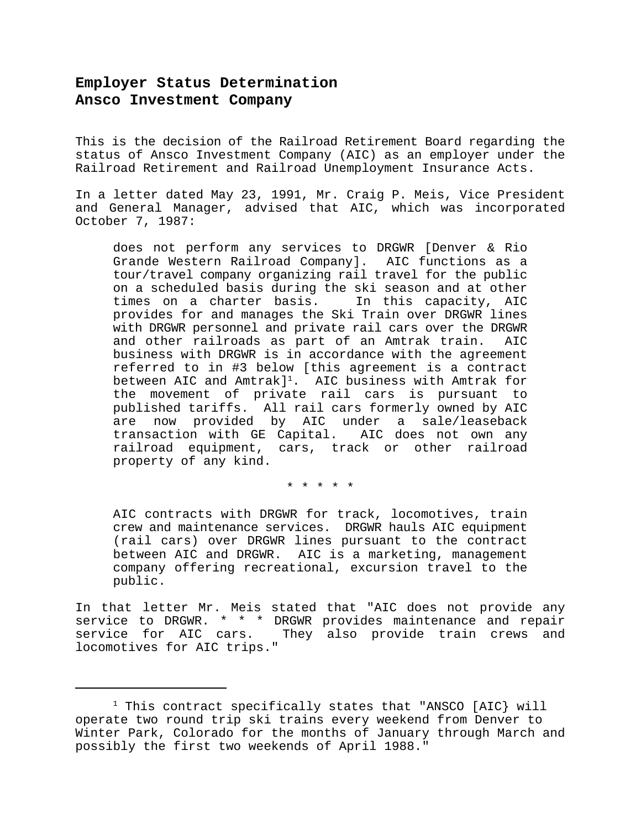## **Employer Status Determination Ansco Investment Company**

This is the decision of the Railroad Retirement Board regarding the status of Ansco Investment Company (AIC) as an employer under the Railroad Retirement and Railroad Unemployment Insurance Acts.

In a letter dated May 23, 1991, Mr. Craig P. Meis, Vice President and General Manager, advised that AIC, which was incorporated October 7, 1987:

does not perform any services to DRGWR [Denver & Rio Grande Western Railroad Company]. AIC functions as a tour/travel company organizing rail travel for the public on a scheduled basis during the ski season and at other times on a charter basis. In this capacity, AIC provides for and manages the Ski Train over DRGWR lines with DRGWR personnel and private rail cars over the DRGWR and other railroads as part of an Amtrak train. AIC business with DRGWR is in accordance with the agreement referred to in #3 below [this agreement is a contract between AIC and  $Amtrack]$ <sup>1</sup>. AIC business with  $Amtrack$  for the movement of private rail cars is pursuant to published tariffs. All rail cars formerly owned by AIC are now provided by AIC under a sale/leaseback transaction with GE Capital. AIC does not own any railroad equipment, cars, track or other railroad property of any kind.

\* \* \* \* \*

AIC contracts with DRGWR for track, locomotives, train crew and maintenance services. DRGWR hauls AIC equipment (rail cars) over DRGWR lines pursuant to the contract between AIC and DRGWR. AIC is a marketing, management company offering recreational, excursion travel to the public.

In that letter Mr. Meis stated that "AIC does not provide any service to DRGWR. \* \* \* DRGWR provides maintenance and repair service for AIC cars. They also provide train crews and locomotives for AIC trips."

 $1$  This contract specifically states that "ANSCO [AIC} will operate two round trip ski trains every weekend from Denver to Winter Park, Colorado for the months of January through March and possibly the first two weekends of April 1988."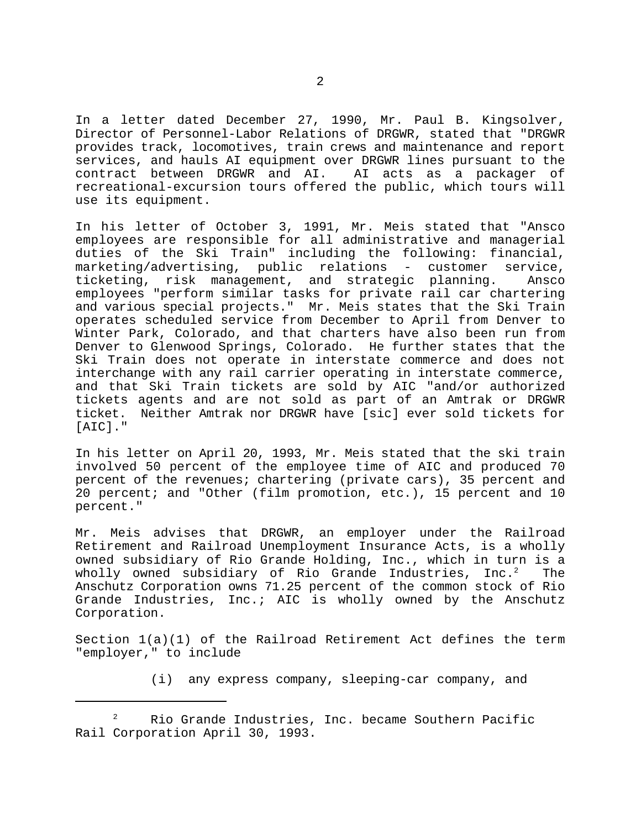In a letter dated December 27, 1990, Mr. Paul B. Kingsolver, Director of Personnel-Labor Relations of DRGWR, stated that "DRGWR provides track, locomotives, train crews and maintenance and report services, and hauls AI equipment over DRGWR lines pursuant to the contract between DRGWR and AI. AI acts as a packager of recreational-excursion tours offered the public, which tours will use its equipment.

In his letter of October 3, 1991, Mr. Meis stated that "Ansco employees are responsible for all administrative and managerial duties of the Ski Train" including the following: financial, marketing/advertising, public relations - customer service, ticketing, risk management, and strategic planning. Ansco employees "perform similar tasks for private rail car chartering and various special projects." Mr. Meis states that the Ski Train operates scheduled service from December to April from Denver to Winter Park, Colorado, and that charters have also been run from Denver to Glenwood Springs, Colorado. He further states that the Ski Train does not operate in interstate commerce and does not interchange with any rail carrier operating in interstate commerce, and that Ski Train tickets are sold by AIC "and/or authorized tickets agents and are not sold as part of an Amtrak or DRGWR ticket. Neither Amtrak nor DRGWR have [sic] ever sold tickets for [AIC]."

In his letter on April 20, 1993, Mr. Meis stated that the ski train involved 50 percent of the employee time of AIC and produced 70 percent of the revenues; chartering (private cars), 35 percent and 20 percent; and "Other (film promotion, etc.), 15 percent and 10 percent."

Mr. Meis advises that DRGWR, an employer under the Railroad Retirement and Railroad Unemployment Insurance Acts, is a wholly owned subsidiary of Rio Grande Holding, Inc., which in turn is a wholly owned subsidiary of Rio Grande Industries, Inc. $^2$  The Anschutz Corporation owns 71.25 percent of the common stock of Rio Grande Industries, Inc.; AIC is wholly owned by the Anschutz Corporation.

Section 1(a)(1) of the Railroad Retirement Act defines the term "employer," to include

(i) any express company, sleeping-car company, and

Rio Grande Industries, Inc. became Southern Pacific <sup>2</sup> Rail Corporation April 30, 1993.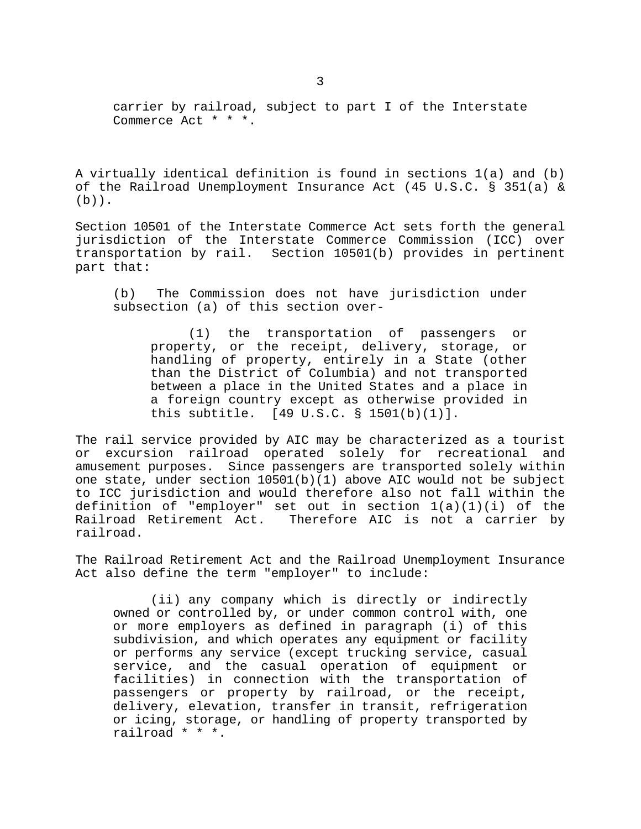carrier by railroad, subject to part I of the Interstate Commerce Act \* \* \*.

A virtually identical definition is found in sections 1(a) and (b) of the Railroad Unemployment Insurance Act (45 U.S.C. § 351(a) &  $(b)$ ).

Section 10501 of the Interstate Commerce Act sets forth the general jurisdiction of the Interstate Commerce Commission (ICC) over transportation by rail. Section 10501(b) provides in pertinent part that:

(b) The Commission does not have jurisdiction under subsection (a) of this section over-

(1) the transportation of passengers or property, or the receipt, delivery, storage, or handling of property, entirely in a State (other than the District of Columbia) and not transported between a place in the United States and a place in a foreign country except as otherwise provided in this subtitle. [49 U.S.C. § 1501(b)(1)].

The rail service provided by AIC may be characterized as a tourist or excursion railroad operated solely for recreational and amusement purposes. Since passengers are transported solely within one state, under section 10501(b)(1) above AIC would not be subject to ICC jurisdiction and would therefore also not fall within the definition of "employer" set out in section 1(a)(1)(i) of the<br>Railroad Retirement Act. Therefore AIC is not a carrier by Therefore AIC is not a carrier by railroad.

The Railroad Retirement Act and the Railroad Unemployment Insurance Act also define the term "employer" to include:

(ii) any company which is directly or indirectly owned or controlled by, or under common control with, one or more employers as defined in paragraph (i) of this subdivision, and which operates any equipment or facility or performs any service (except trucking service, casual service, and the casual operation of equipment or facilities) in connection with the transportation of passengers or property by railroad, or the receipt, delivery, elevation, transfer in transit, refrigeration or icing, storage, or handling of property transported by railroad \* \* \*.